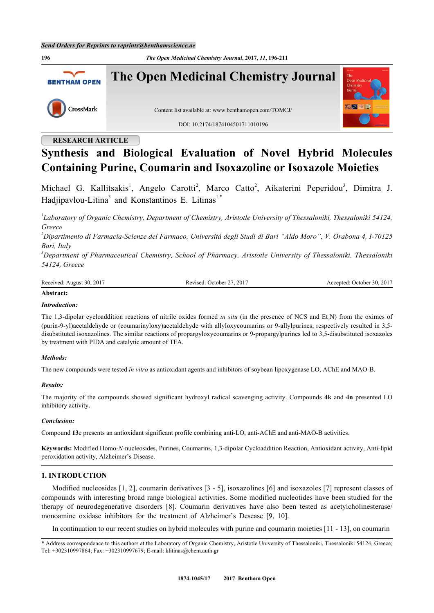**196** *The Open Medicinal Chemistry Journal***, 2017,** *11***, 196-211**



# **RESEARCH ARTICLE**

# **Synthesis and Biological Evaluation of Novel Hybrid Molecules Containing Purine, Coumarin and Isoxazoline or Isoxazole Moieties**

Michael G. Kallitsakis<sup>[1](#page-0-0)</sup>, Angelo Carotti<sup>[2](#page-0-1)</sup>, Marco Catto<sup>2</sup>, Aikaterini Peperidou<sup>[3](#page-0-2)</sup>, Dimitra J. Hadjipavlou-Litina<sup>[3](#page-0-2)</sup> and Konstantinos E. Litinas<sup>[1,](#page-0-0)[\\*](#page-0-3)</sup>

<span id="page-0-0"></span>*1 Laboratory of Organic Chemistry, Department of Chemistry, Aristotle University of Thessaloniki, Thessaloniki 54124, Greece*

<span id="page-0-1"></span>*<sup>2</sup>Dipartimento di Farmacia-Scienze del Farmaco, Università degli Studi di Bari "Aldo Moro", V. Orabona 4, I-70125 Bari, Italy*

<span id="page-0-2"></span>*<sup>3</sup>Department of Pharmaceutical Chemistry, School of Pharmacy, Aristotle University of Thessaloniki, Thessaloniki 54124, Greece*

Received: August 30, 2017 Revised: October 27, 2017 Accepted: October 30, 2017

## **Abstract:**

## *Introduction:*

The 1,3-dipolar cycloaddition reactions of nitrile oxides formed *in situ* (in the presence of NCS and Et<sub>3</sub>N) from the oximes of (purin-9-yl)acetaldehyde or (coumarinyloxy)acetaldehyde with allyloxycoumarins or 9-allylpurines, respectively resulted in 3,5 disubstituted isoxazolines. The similar reactions of propargyloxycoumarins or 9-propargylpurines led to 3,5-disubstituted isoxazoles by treatment with PIDA and catalytic amount of TFA.

## *Methods:*

The new compounds were tested *in vitro* as antioxidant agents and inhibitors of soybean lipoxygenase LO, AChE and MAO-B.

## *Results:*

The majority of the compounds showed significant hydroxyl radical scavenging activity. Compounds **4k** and **4n** presented LO inhibitory activity.

## *Conclusion:*

Compound **13**e presents an antioxidant significant profile combining anti-LO, anti-AChE and anti-MAO-B activities.

**Keywords:** Modified Homo-*N*-nucleosides, Purines, Coumarins, 1,3-dipolar Cycloaddition Reaction, Antioxidant activity, Anti-lipid peroxidation activity, Alzheimer's Disease.

## **1. INTRODUCTION**

Modified nucleosides [[1,](#page-13-0) [2](#page-13-1)], coumarin derivatives [[3](#page-13-2) - [5](#page-13-3)], isoxazolines [[6](#page-13-4)] and isoxazoles [[7](#page-13-5)] represent classes of compounds with interesting broad range biological activities. Some modified nucleotides have been studied for the therapy of neurodegenerative disorders [\[8](#page-13-6)]. Coumarin derivatives have also been tested as acetylcholinesterase/ monoamine oxidase inhibitors for the treatment of Alzheimer's Desease[[9,](#page-13-7) [10\]](#page-13-8).

In continuation to our recent studies on hybrid molecules with purine and coumarin moieties [[11](#page-13-9) - [13](#page-13-10)], on coumarin

<span id="page-0-3"></span><sup>\*</sup> Address correspondence to this authors at the Laboratory of Organic Chemistry, Aristotle University of Thessaloniki, Thessaloniki 54124, Greece; Tel: +302310997864; Fax: +302310997679; E-mail: [klitinas@chem.auth.gr](mailto:klitinas@chem.auth.gr)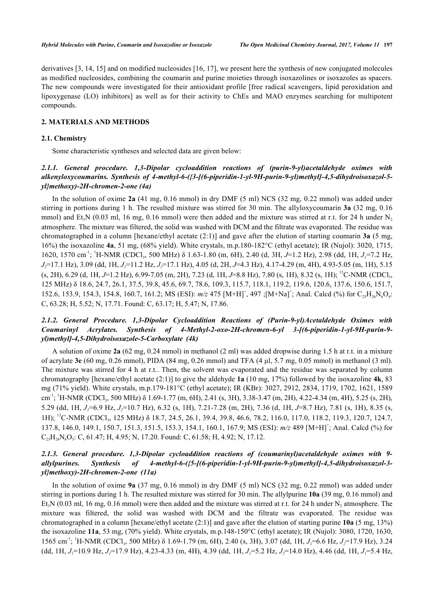derivatives [[3,](#page-13-2) [14,](#page-13-11) [15\]](#page-13-12) and on modified nucleosides [\[16](#page-14-0), [17](#page-14-1)], we present here the synthesis of new conjugated molecules as modified nucleosides, combining the coumarin and purine moieties through isoxazolines or isoxazoles as spacers. The new compounds were investigated for their antioxidant profile [free radical scavengers, lipid peroxidation and lipoxygenase (LO) inhibitors] as well as for their activity to ChEs and MAO enzymes searching for multipotent compounds.

## **2. MATERIALS AND METHODS**

#### **2.1. Chemistry**

Some characteristic syntheses and selected data are given below:

# *2.1.1. General procedure. 1,3-Dipolar cycloaddition reactions of (purin-9-yl)acetaldehyde oximes with alkenyloxycoumarins. Synthesis of 4-methyl-6-({3-[(6-piperidin-1-yl-9H-purin-9-yl)methyl]-4,5-dihydroisoxazol-5 yl}methoxy)-2H-chromen-2-one (4a)*

In the solution of oxime **2a** (41 mg, 0.16 mmol) in dry DMF (5 ml) NCS (32 mg, 0.22 mmol) was added under stirring in portions during 1 h. The resulted mixture was stirred for 30 min. The allyloxycoumarin **3a** (32 mg, 0.16 mmol) and Et<sub>3</sub>N (0.03 ml, 16 mg, 0.16 mmol) were then added and the mixture was stirred at r.t. for 24 h under N<sub>2</sub> atmosphere. The mixture was filtered, the solid was washed with DCM and the filtrate was evaporated. The residue was chromatographed in a column [hexane/ethyl acetate (2:1)] and gave after the elution of starting coumarin **3a** (5 mg, 16%) the isoxazoline **4a**, 51 mg, (68% yield). White crystals, m.p.180-182°C (ethyl acetate); IR (Nujol): 3020, 1715, 1620, 1570 cm<sup>-1</sup>; <sup>1</sup>H-NMR (CDCl<sub>3</sub>, 500 MHz) δ 1.63-1.80 (m, 6H), 2.40 (d, 3H, *J*=1.2 Hz), 2.98 (dd, 1H, *J<sub>1</sub>*=7.2 Hz, *J2*=17.1 Hz), 3.09 (dd, 1H, *J1*=11.2 Hz, *J2*=17.1 Hz), 4.05 (d, 2H, *J*=4.3 Hz), 4.17-4.29 (m, 4H), 4.93-5.05 (m, 1H), 5.15 (s, 2H), 6.29 (d, 1H, *J*=1.2 Hz), 6.99-7.05 (m, 2H), 7.23 (d, 1H, *J*=8.8 Hz), 7.80 (s, 1H), 8.32 (s, 1H); <sup>13</sup>C-NMR (CDCl<sub>3</sub>, 125 MHz) δ 18.6, 24.7, 26.1, 37.5, 39.8, 45.6, 69.7, 78.6, 109.3, 115.7, 118.1, 119.2, 119.6, 120.6, 137.6, 150.6, 151.7, 152.6, 153.9, 154.3, 154.8, 160.7, 161.2; MS (ESI):  $m/z$  475  $[M+H]^+$ , 497 ; $[M+Na]^+$ ; Anal. Calcd (%) for  $C_{25}H_{26}N_6O_4$ : C, 63.28; H, 5.52; N, 17.71. Found: C, 63.17; H, 5.47; N, 17.86.

# *2.1.2. General Procedure. 1,3-Dipolar Cycloaddition Reactions of (Purin-9-yl)Acetaldehyde Oximes with Coumarinyl Acrylates. Synthesis of 4-Methyl-2-oxo-2H-chromen-6-yl 3-[(6-piperidin-1-yl-9H-purin-9 yl)methyl]-4,5-Dihydroisoxazole-5-Carboxylate (4k)*

A solution of oxime **2a** (62 mg, 0.24 mmol) in methanol (2 ml) was added dropwise during 1.5 h at r.t. in a mixture of acrylate **3e** (60 mg, 0.26 mmol), PIDA (84 mg, 0.26 mmol) and TFA (4 μl, 5.7 mg, 0.05 mmol) in methanol (3 ml). The mixture was stirred for 4 h at r.t.. Then, the solvent was evaporated and the residue was separated by column chromatography [hexane/ethyl acetate (2:1)] to give the aldehyde **1a** (10 mg, 17%) followed by the isoxazoline **4k**, 83 mg (71% yield). White crystals, m.p.179-181°C (ethyl acetate); IR (KBr): 3027, 2912, 2834, 1719, 1702, 1621, 1589 cm<sup>-1</sup>; <sup>1</sup>H-NMR (CDCl<sub>3</sub>, 500 MHz) δ 1.69-1.77 (m, 6H), 2.41 (s, 3H), 3.38-3.47 (m, 2H), 4.22-4.34 (m, 4H), 5.25 (s, 2H), 5.29 (dd, 1H, *J1*=6.9 Hz, *J2*=10.7 Hz), 6.32 (s, 1H), 7.21-7.28 (m, 2H), 7.36 (d, 1H, *J*=8.7 Hz), 7.81 (s, 1H), 8.35 (s, 1H); <sup>13</sup>C-NMR (CDCl<sub>3</sub>, 125 MHz) δ 18.7, 24.5, 26.1, 39.4, 39.8, 46.6, 78.2, 116.0, 117.0, 118.2, 119.3, 120.7, 124.7, 137.8, 146.0, 149.1, 150.7, 151.3, 151.5, 153.3, 154.1, 160.1, 167.9; MS (ESI):  $m/z$  489 [M+H]<sup>+</sup>; Anal. Calcd (%) for  $C_{25}H_{24}N_6O_5$ : C, 61.47; H, 4.95; N, 17.20. Found: C, 61.58; H, 4.92; N, 17.12.

# *2.1.3. General procedure. 1,3-Dipolar cycloaddition reactions of (coumarinyl)acetaldehyde oximes with 9 allylpurines. Synthesis of 4-methyl-6-({5-[(6-piperidin-1-yl-9H-purin-9-yl)methyl]-4,5-dihydroisoxazol-3 yl}methoxy)-2H-chromen-2-one (11a)*

In the solution of oxime **9a** (37 mg, 0.16 mmol) in dry DMF (5 ml) NCS (32 mg, 0.22 mmol) was added under stirring in portions during 1 h. The resulted mixture was stirred for 30 min. The allylpurine **10a** (39 mg, 0.16 mmol) and Et<sub>3</sub>N (0.03 ml, 16 mg, 0.16 mmol) were then added and the mixture was stirred at r.t. for 24 h under N<sub>2</sub> atmosphere. The mixture was filtered, the solid was washed with DCM and the filtrate was evaporated. The residue was chromatographed in a column [hexane/ethyl acetate (2:1)] and gave after the elution of starting purine **10a** (5 mg, 13%) the isoxazoline **11a**, 53 mg, (70% yield). White crystals, m.p.148-150°C (ethyl acetate); IR (Nujol): 3080, 1720, 1630, 1565 cm<sup>-1</sup>; <sup>1</sup>H-NMR (CDCl<sub>3</sub>, 500 MHz) δ 1.69-1.79 (m, 6H), 2.40 (s, 3H), 3.07 (dd, 1H, *J<sub>I</sub>*=6.6 Hz, *J<sub>2</sub>*=17.9 Hz), 3.24 (dd, 1H, *J1*=10.9 Hz, *J2*=17.9 Hz), 4.23-4.33 (m, 4H), 4.39 (dd, 1H, *J1*=5.2 Hz, *J2*=14.0 Hz), 4.46 (dd, 1H, *J1*=5.4 Hz,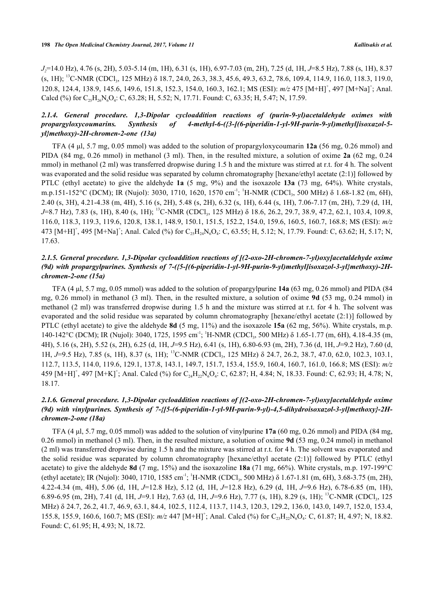*J2*=14.0 Hz), 4.76 (s, 2H), 5.03-5.14 (m, 1H), 6.31 (s, 1H), 6.97-7.03 (m, 2H), 7.25 (d, 1H, *J*=8.5 Hz), 7.88 (s, 1H), 8.37 (s, 1H); <sup>13</sup>C-NMR (CDCl<sub>3</sub>, 125 MHz) δ 18.7, 24.0, 26.3, 38.3, 45.6, 49.3, 63.2, 78.6, 109.4, 114.9, 116.0, 118.3, 119.0, 120.8, 124.4, 138.9, 145.6, 149.6, 151.8, 152.3, 154.0, 160.3, 162.1; MS (ESI):  $m/z$  475  $[M+H]$ <sup>+</sup>, 497  $[M+Na]$ <sup>+</sup>; Anal. Calcd (%) for  $C_{25}H_{26}N_6O_4$ : C, 63.28; H, 5.52; N, 17.71. Found: C, 63.35; H, 5.47; N, 17.59.

# *2.1.4. General procedure. 1,3-Dipolar cycloaddition reactions of (purin-9-yl)acetaldehyde oximes with propargyloxycoumarins. Synthesis of 4-methyl-6-({3-[(6-piperidin-1-yl-9H-purin-9-yl)methyl]isoxazol-5 yl}methoxy)-2H-chromen-2-one (13a)*

TFA (4 μl, 5.7 mg, 0.05 mmol) was added to the solution of propargyloxycoumarin **12a** (56 mg, 0.26 mmol) and PIDA (84 mg, 0.26 mmol) in methanol (3 ml). Then, in the resulted mixture, a solution of oxime **2a** (62 mg, 0.24 mmol) in methanol (2 ml) was transferred dropwise during 1.5 h and the mixture was stirred at r.t. for 4 h. The solvent was evaporated and the solid residue was separated by column chromatography [hexane/ethyl acetate (2:1)] followed by PTLC (ethyl acetate) to give the aldehyde **1a** (5 mg, 9%) and the isoxazole **13a** (73 mg, 64%). White crystals, m.p.151-152°C (DCM); IR (Nujol): 3030, 1710, 1620, 1570 cm<sup>-1</sup>; <sup>1</sup>H-NMR (CDCl<sub>3</sub>, 500 MHz) δ 1.68-1.82 (m, 6H), 2.40 (s, 3H), 4.21-4.38 (m, 4H), 5.16 (s, 2H), 5.48 (s, 2H), 6.32 (s, 1H), 6.44 (s, 1H), 7.06-7.17 (m, 2H), 7.29 (d, 1H, *J*=8.7 Hz), 7.83 (s, 1H), 8.40 (s, 1H); <sup>13</sup>C-NMR (CDCl<sub>3</sub>, 125 MHz) δ 18.6, 26.2, 29.7, 38.9, 47.2, 62.1, 103.4, 109.8, 116.0, 118.3, 119.3, 119.6, 120.8, 138.1, 148.9, 150.1, 151.5, 152.2, 154.0, 159.6, 160.5, 160.7, 168.8; MS (ESI): *m/z* 473  $[M+H]^+$ , 495  $[M+Na]^+$ ; Anal. Calcd (%) for  $C_{25}H_{24}N_6O_4$ : C, 63.55; H, 5.12; N, 17.79. Found: C, 63.62; H, 5.17; N, 17.63.

# *2.1.5. General procedure. 1,3-Dipolar cycloaddition reactions of [(2-oxo-2H-chromen-7-yl)oxy]acetaldehyde oxime (9d) with propargylpurines. Synthesis of 7-({5-[(6-piperidin-1-yl-9H-purin-9-yl)methyl]isoxazol-3-yl}methoxy)-2Hchromen-2-one (15a)*

TFA (4 μl, 5.7 mg, 0.05 mmol) was added to the solution of propargylpurine **14a** (63 mg, 0.26 mmol) and PIDA (84 mg, 0.26 mmol) in methanol (3 ml). Then, in the resulted mixture, a solution of oxime **9d** (53 mg, 0.24 mmol) in methanol (2 ml) was transferred dropwise during 1.5 h and the mixture was stirred at r.t. for 4 h. The solvent was evaporated and the solid residue was separated by column chromatography [hexane/ethyl acetate (2:1)] followed by PTLC (ethyl acetate) to give the aldehyde **8d** (5 mg, 11%) and the isoxazole **15a** (62 mg, 56%). White crystals, m.p. 140-142°C (DCM); IR (Nujol): 3040, 1725, 1595 cm<sup>-1</sup>; <sup>1</sup>H-NMR (CDCl<sub>3</sub>, 500 MHz) δ 1.65-1.77 (m, 6H), 4.18-4.35 (m, 4H), 5.16 (s, 2H), 5.52 (s, 2H), 6.25 (d, 1H, *J*=9.5 Hz), 6.41 (s, 1H), 6.80-6.93 (m, 2H), 7.36 (d, 1H, *J*=9.2 Hz), 7.60 (d, 1H, *J*=9.5 Hz), 7.85 (s, 1H), 8.37 (s, 1H); <sup>13</sup>C-NMR (CDCl<sub>3</sub>, 125 MHz) δ 24.7, 26.2, 38.7, 47.0, 62.0, 102.3, 103.1, 112.7, 113.5, 114.0, 119.6, 129.1, 137.8, 143.1, 149.7, 151.7, 153.4, 155.9, 160.4, 160.7, 161.0, 166.8; MS (ESI): *m/z* 459  $[M+H]^+$ , 497  $[M+K]^+$ ; Anal. Calcd (%) for  $C_{24}H_{22}N_6O_4$ : C, 62.87; H, 4.84; N, 18.33. Found: C, 62.93; H, 4.78; N, 18.17.

# *2.1.6. General procedure. 1,3-Dipolar cycloaddition reactions of [(2-oxo-2H-chromen-7-yl)oxy]acetaldehyde oxime (9d) with vinylpurines. Synthesis of 7-{[5-(6-piperidin-1-yl-9H-purin-9-yl)-4,5-dihydroisoxazol-3-yl]methoxy}-2Hchromen-2-one (18a)*

TFA (4 μl, 5.7 mg, 0.05 mmol) was added to the solution of vinylpurine **17a** (60 mg, 0.26 mmol) and PIDA (84 mg, 0.26 mmol) in methanol (3 ml). Then, in the resulted mixture, a solution of oxime **9d** (53 mg, 0.24 mmol) in methanol (2 ml) was transferred dropwise during 1.5 h and the mixture was stirred at r.t. for 4 h. The solvent was evaporated and the solid residue was separated by column chromatography [hexane/ethyl acetate (2:1)] followed by PTLC (ethyl acetate) to give the aldehyde **8d** (7 mg, 15%) and the isoxazoline **18a** (71 mg, 66%). White crystals, m.p. 197-199°C (ethyl acetate); IR (Nujol): 3040, 1710, 1585 cm<sup>-1</sup>; <sup>1</sup>H-NMR (CDCl<sub>3</sub>, 500 MHz)  $\delta$  1.67-1.81 (m, 6H), 3.68-3.75 (m, 2H), 4.22-4.34 (m, 4H), 5.06 (d, 1H, *J*=12.8 Hz), 5.12 (d, 1H, *J*=12.8 Hz), 6.29 (d, 1H, *J*=9.6 Hz), 6.78-6.85 (m, 1H), 6.89-6.95 (m, 2H), 7.41 (d, 1H, *J*=9.1 Hz), 7.63 (d, 1H, *J*=9.6 Hz), 7.77 (s, 1H), 8.29 (s, 1H); <sup>13</sup>C-NMR (CDCl<sub>3</sub>, 125 MHz) δ 24.7, 26.2, 41.7, 46.9, 63.1, 84.4, 102.5, 112.4, 113.7, 114.3, 120.3, 129.2, 136.0, 143.0, 149.7, 152.0, 153.4, 155.8, 155.9, 160.6, 160.7; MS (ESI):  $m/z$  447 [M+H]<sup>+</sup>; Anal. Calcd (%) for C<sub>23</sub>H<sub>22</sub>N<sub>6</sub>O<sub>4</sub>: C, 61.87; H, 4.97; N, 18.82. Found: C, 61.95; H, 4.93; N, 18.72.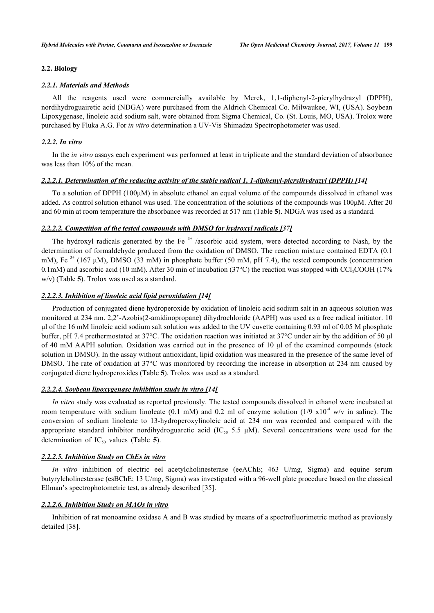## **2.2. Biology**

#### *2.2.1. Materials and Methods*

All the reagents used were commercially available by Merck, 1,1-diphenyl-2-picrylhydrazyl (DPPH), nordihydroguairetic acid (NDGA) were purchased from the Aldrich Chemical Co. Milwaukee, WI, (USA). Soybean Lipoxygenase, linoleic acid sodium salt, were obtained from Sigma Chemical, Co. (St. Louis, MO, USA). Trolox were purchased by Fluka A.G. For *in vitro* determination a UV-Vis Shimadzu Spectrophotometer was used.

#### *2.2.2. In vitro*

In the *in vitro* assays each experiment was performed at least in triplicate and the standard deviation of absorbance was less than 10% of the mean.

## *2.2.2.1. Determination of the reducing activity of the stable radical 1, 1-diphenyl-picrylhydrazyl (DPPH) [[14\]](#page-13-11)*

To a solution of DPPH (100μM) in absolute ethanol an equal volume of the compounds dissolved in ethanol was added. As control solution ethanol was used. The concentration of the solutions of the compounds was 100μM. After 20 and 60 min at room temperature the absorbance was recorded at 517 nm (Table **[5](#page-10-0)**). NDGA was used as a standard.

## *2.2.2.2. Competition of the tested compounds with DMSO for hydroxyl radicals [[37\]](#page-15-0)*

The hydroxyl radicals generated by the Fe<sup> $3+$ </sup> /ascorbic acid system, were detected according to Nash, by the determination of formaldehyde produced from the oxidation of DMSO. The reaction mixture contained EDTA (0.1 mM), Fe  $3+$  (167 µM), DMSO (33 mM) in phosphate buffer (50 mM, pH 7.4), the tested compounds (concentration 0.1mM) and ascorbic acid (10 mM). After 30 min of incubation (37 $^{\circ}$ C) the reaction was stopped with CCl<sub>3</sub>COOH (17%) w/v) (Table **[5](#page-10-0)**). Trolox was used as a standard.

#### *2.2.2.3. Inhibition of linoleic acid lipid peroxidation [[14\]](#page-13-11)*

Production of conjugated diene hydroperoxide by oxidation of linoleic acid sodium salt in an aqueous solution was monitored at 234 nm. 2,2'-Azobis(2-amidinopropane) dihydrochloride (AAPH) was used as a free radical initiator. 10 μl of the 16 mM linoleic acid sodium salt solution was added to the UV cuvette containing 0.93 ml of 0.05 M phosphate buffer, pH 7.4 prethermostated at 37°C. The oxidation reaction was initiated at 37°C under air by the addition of 50 μl of 40 mM AAPH solution. Oxidation was carried out in the presence of 10 μl of the examined compounds (stock solution in DMSO). In the assay without antioxidant, lipid oxidation was measured in the presence of the same level of DMSO. The rate of oxidation at 37<sup>o</sup>C was monitored by recording the increase in absorption at 234 nm caused by conjugated diene hydroperoxides (Table **[5](#page-10-0)**). Trolox was used as a standard.

## *2.2.2.4. Soybean lipoxygenase inhibition study in vitro [\[14](#page-13-11)]*

*In vitro* study was evaluated as reported previously. The tested compounds dissolved in ethanol were incubated at room temperature with sodium linoleate (0.1 mM) and 0.2 ml of enzyme solution (1/9  $x10^{-4}$  w/v in saline). The conversion of sodium linoleate to 13-hydroperoxylinoleic acid at 234 nm was recorded and compared with the appropriate standard inhibitor nordihydroguaretic acid (IC<sub>50</sub> 5.5  $\mu$ M). Several concentrations were used for the determinationof  $IC_{50}$  values (Table 5).

## *2.2.2.5. Inhibition Study on ChEs in vitro*

*In vitro* inhibition of electric eel acetylcholinesterase (eeAChE; 463 U/mg, Sigma) and equine serum butyrylcholinesterase (esBChE; 13 U/mg, Sigma) was investigated with a 96-well plate procedure based on the classical Ellman's spectrophotometric test, as already described [[35\]](#page-15-1).

## *2.2.2.6. Inhibition Study on MAOs in vitro*

Inhibition of rat monoamine oxidase A and B was studied by means of a spectrofluorimetric method as previously detailed [\[38](#page-15-2)].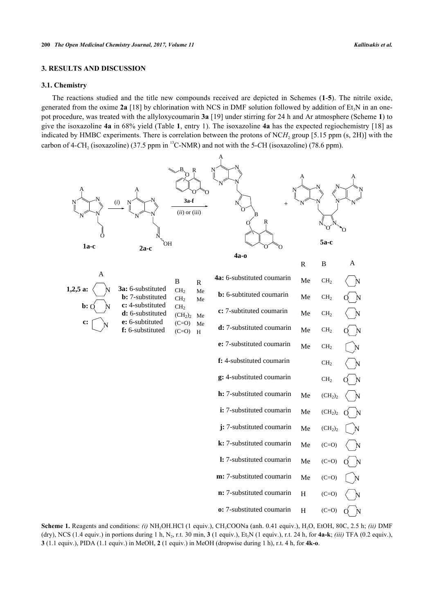## **3. RESULTS AND DISCUSSION**

## **3.1. Chemistry**

The reactions studied and the title new compounds received are depicted in Schemes (**[1](#page-4-0)**-**[5](#page-9-0)**). The nitrile oxide, generated from the oxime  $2a$  [\[18](#page-14-2)] by chlorination with NCS in DMF solution followed by addition of Et<sub>3</sub>N in an onepot procedure, was treated with the allyloxycoumarin **3a** [[19\]](#page-14-3) under stirring for 24 h and Ar atmosphere (Scheme **[1](#page-4-0)**) to give the isoxazoline **4a** in 68% yield (Table **[1](#page-4-1)**, entry 1). The isoxazoline **4a** has the expected regiochemistry [\[18\]](#page-14-2) as indicated by HMBC experiments. There is correlation between the protons of  $NCH_2$  group [5.15 ppm  $(s, 2H)$ ] with the carbon of 4-CH<sub>2</sub> (isoxazoline) (37.5 ppm in <sup>13</sup>C-NMR) and not with the 5-CH (isoxazoline) (78.6 ppm).

<span id="page-4-0"></span>

<span id="page-4-1"></span>**Scheme 1.** Reagents and conditions: *(i)* NH<sub>2</sub>OH.HCl (1 equiv.), CH<sub>3</sub>COONa (anh. 0.41 equiv.), H<sub>2</sub>O, EtOH, 80C, 2.5 h; *(ii)* DMF (dry), NCS (1.4 equiv.) in portions during 1 h, N<sub>2</sub>, r.t. 30 min, 3 (1 equiv.), Et<sub>3</sub>N (1 equiv.), r.t. 24 h, for 4a-k; *(iii)* TFA (0.2 equiv.), **3** (1.1 equiv.), PIDA (1.1 equiv.) in MeOH, **2** (1 equiv.) in MeOH (dropwise during 1 h), r.t. 4 h, for **4k-o**.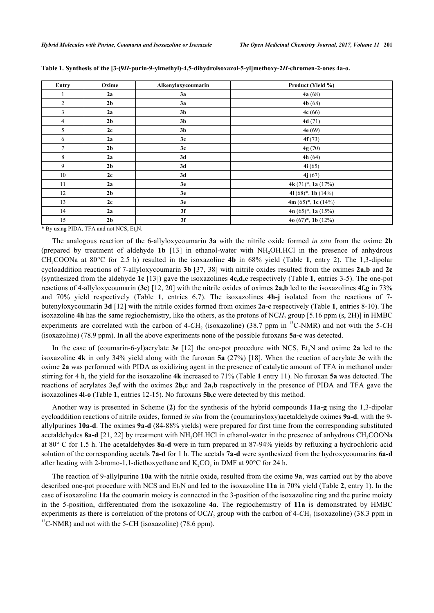| Entry          | Oxime          | Alkenyloxycoumarin | Product (Yield %)                   |
|----------------|----------------|--------------------|-------------------------------------|
| 1              | 2a             | 3a                 | 4a(68)                              |
| $\overline{2}$ | 2 <sub>b</sub> | 3a                 | 4b(68)                              |
| $\mathbf{3}$   | 2a             | 3 <sub>b</sub>     | 4c(66)                              |
| $\overline{4}$ | 2 <sub>b</sub> | 3 <sub>b</sub>     | 4d(71)                              |
| 5              | 2c             | 3 <sub>b</sub>     | 4e $(69)$                           |
| 6              | 2a             | 3c                 | 4f(73)                              |
| $\tau$         | 2 <sub>b</sub> | 3c                 | 4g (70)                             |
| 8              | 2a             | 3d                 | 4h $(64)$                           |
| 9              | 2 <sub>b</sub> | 3d                 | 4i(65)                              |
| 10             | 2c             | 3d                 | 4j(67)                              |
| 11             | 2a             | 3e                 | 4k $(71)$ <sup>*</sup> , 1a $(17%)$ |
| 12             | 2 <sub>b</sub> | 3e                 | 41 $(68)^*$ , 1b $(14\%)$           |
| 13             | 2c             | 3e                 | 4m $(65)^*$ , 1c $(14%)$            |
| 14             | 2a             | 3f                 | 4n $(65)^*$ , 1a $(15\%)$           |
| 15             | 2 <sub>b</sub> | 3f                 | 4o $(67)^*$ , 1b $(12\%)$           |

**Table 1. Synthesis of the [3-(9***H***-purin-9-ylmethyl)-4,5-dihydroisoxazol-5-yl]methoxy-2***H***-chromen-2-ones 4a-o.**

 $*$  By using PIDA, TFA and not NCS, Et<sub>3</sub>N.

The analogous reaction of the 6-allyloxycoumarin **3a** with the nitrile oxide formed *in situ* from the oxime **2b** (prepared by treatment of aldehyde **1b** [[13](#page-13-10)] in ethanol-water with NH2OH.HCl in the presence of anhydrous CH3COONa at 80°C for 2.5 h) resulted in the isoxazoline **4b** in 68% yield (Table**1**, entry 2). The 1,3-dipolar cycloaddition reactions of 7-allyloxycoumarin **3b** [\[37,](#page-15-0) [38\]](#page-15-2) with nitrile oxides resulted from the oximes **2a,b** and **2c** (synthesized from the aldehyde **1c** [[13\]](#page-13-10)) gave the isoxazolines **4c,d,e** respectively (Table **[1](#page-4-1)**, entries 3-5). The one-pot reactions of 4-allyloxycoumarin (**3c**) [\[12,](#page-13-13) [20\]](#page-14-4) with the nitrile oxides of oximes **2a,b** led to the isoxazolines **4f,g** in 73% and 70% yield respectively (Table**1**, entries 6,7). The isoxazolines **4h-j** isolated from the reactions of 7 butenyloxycoumarin **3d** [[12\]](#page-13-13) with the nitrile oxides formed from oximes **2a-c** respectively (Table **[1](#page-4-1)**, entries 8-10). The isoxazoline 4h has the same regiochemistry, like the others, as the protons of NCH<sub>2</sub> group [5.16 ppm (s, 2H)] in HMBC experiments are correlated with the carbon of  $4$ -CH<sub>2</sub> (isoxazoline) (38.7 ppm in  $^{13}$ C-NMR) and not with the 5-CH (isoxazoline) (78.9 ppm). In all the above experiments none of the possible furoxans **5a-c** was detected.

In the case of (coumarin-6-yl)acrylate  $3e$  [\[12](#page-13-13)] the one-pot procedure with NCS, Et<sub>3</sub>N and oxime  $2a$  led to the isoxazoline **4k** in only 34% yield along with the furoxan **5a** (27%) [\[18](#page-14-2)]. When the reaction of acrylate **3e** with the oxime **2a** was performed with PIDA as oxidizing agent in the presence of catalytic amount of TFA in methanol under stirring for 4 h, the yield for the isoxazoline **4k** increased to 71% (Table **[1](#page-4-1)** entry 11). No furoxan **5a** was detected. The reactions of acrylates **3e,f** with the oximes **2b,c** and **2a,b** respectively in the presence of PIDA and TFA gave the isoxazolines **4l-o** (Table **[1](#page-4-1)**, entries 12-15). No furoxans **5b,c** were detected by this method.

Another way is presented in Scheme (**[2](#page-5-0)**) for the synthesis of the hybrid compounds **11a-g** using the 1,3-dipolar cycloaddition reactions of nitrile oxides, formed *in situ* from the (coumarinyloxy)acetaldehyde oximes **9a-d**, with the 9 allylpurines **10a-d**. The oximes **9a-d** (84-88% yields) were prepared for first time from the corresponding substituted acetaldehydes **8a-d** [\[21](#page-14-5), [22\]](#page-14-6) by treatment with NH<sub>2</sub>OH.HCl in ethanol-water in the presence of anhydrous CH<sub>3</sub>COONa at 80° C for 1.5 h. The acetaldehydes **8a-d** were in turn prepared in 87-94% yields by refluxing a hydrochloric acid solution of the corresponding acetals **7a-d** for 1 h. The acetals **7a-d** were synthesized from the hydroxycoumarins **6a-d** after heating with 2-bromo-1,1-diethoxyethane and  $K_2CO_3$  in DMF at 90°C for 24 h.

<span id="page-5-0"></span>The reaction of 9-allylpurine **10a** with the nitrile oxide, resulted from the oxime **9a**, was carried out by the above described one-pot procedure with NCS and Et<sub>3</sub>N and led to the isoxazoline **11a** in 70% yield (Table **[2](#page-6-0)**, entry 1). In the case of isoxazoline **11a** the coumarin moiety is connected in the 3-position of the isoxazoline ring and the purine moiety in the 5-position, differentiated from the isoxazoline **4a**. The regiochemistry of **11a** is demonstrated by HMBC experiments as there is correlation of the protons of  $OCH_2$  group with the carbon of  $4-CH_2$  (isoxazoline) (38.3 ppm in <sup>13</sup>C-NMR) and not with the 5-CH (isoxazoline) (78.6 ppm).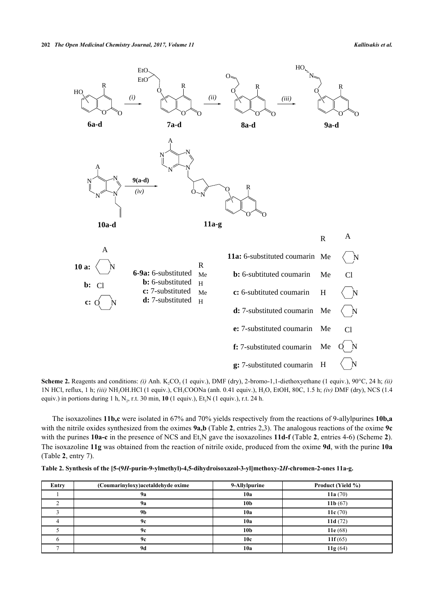

**Scheme 2.** Reagents and conditions: *(i)* Anh. K<sub>2</sub>CO<sub>3</sub> (1 equiv.), DMF (dry), 2-bromo-1,1-diethoxyethane (1 equiv.), 90°C, 24 h; *(ii)* 1N HCl, reflux, 1 h; *(iii)* NH<sub>2</sub>OH.HCl (1 equiv.), CH<sub>3</sub>COONa (anh. 0.41 equiv.), H<sub>2</sub>O, EtOH, 80C, 1.5 h; *(iv)* DMF (dry), NCS (1.4 equiv.) in portions during 1 h,  $N_2$ , r.t. 30 min, 10 (1 equiv.), Et<sub>3</sub>N (1 equiv.), r.t. 24 h.

The isoxazolines **11b,c** were isolated in 67% and 70% yields respectively from the reactions of 9-allylpurines **10b,a** with the nitrile oxides synthesized from the oximes **9a,b** (Table **[2](#page-6-0)**, entries 2,3). The analogous reactions of the oxime **9c** with the purines  $10a-c$  in the presence of NCS and Et<sub>3</sub>N gave the isoxazolines  $11d-f$  (Table [2](#page-5-0), entries 4-6) (Scheme 2). The isoxazoline **11g** was obtained from the reaction of nitrile oxide, produced from the oxime **9d**, with the purine **10a** (Table **[2](#page-6-0)**, entry 7).

<span id="page-6-0"></span>

|  |  |  | Table 2. Synthesis of the [5-(9H-purin-9-ylmethyl)-4,5-dihydroisoxazol-3-yl]methoxy-2H-chromen-2-ones 11a-g. |  |
|--|--|--|--------------------------------------------------------------------------------------------------------------|--|
|  |  |  |                                                                                                              |  |

| Entry | (Coumarinyloxy) acetal dehyde oxime | 9-Allylpurine   | Product (Yield %) |
|-------|-------------------------------------|-----------------|-------------------|
|       | <b>9a</b>                           | 10a             | 11a $(70)$        |
|       | <b>9a</b>                           | 10 <sub>b</sub> | 11 $b(67)$        |
|       | 9 <sub>b</sub>                      | 10a             | 11 $c(70)$        |
|       | 9с                                  | 10a             | 11d $(72)$        |
|       | 9с                                  | 10 <sub>b</sub> | 11 $e(68)$        |
|       | 9с                                  | 10c             | 11 $f(65)$        |
|       | 9d                                  | 10a             | 11g(64)           |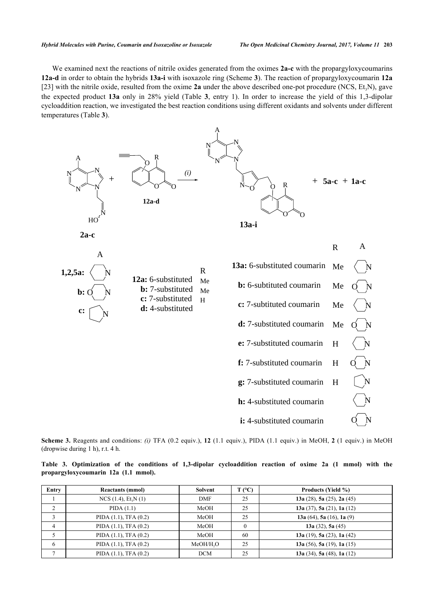We examined next the reactions of nitrile oxides generated from the oximes **2a-c** with the propargyloxycoumarins **12a-d** in order to obtain the hybrids **13a-i** with isoxazole ring (Scheme **[3](#page-7-0)**). The reaction of propargyloxycoumarin **12a** [\[23](#page-14-7)] with the nitrile oxide, resulted from the oxime  $2a$  under the above described one-pot procedure (NCS, Et<sub>3</sub>N), gave the expected product **13a** only in 28% yield (Table**3**, entry 1). In order to increase the yield of this 1,3-dipolar cycloaddition reaction, we investigated the best reaction conditions using different oxidants and solvents under different temperatures (Table **[3](#page-7-1)**).

<span id="page-7-0"></span>

**Scheme 3.** Reagents and conditions: *(i)* TFA (0.2 equiv.), **12** (1.1 equiv.), PIDA (1.1 equiv.) in MeOH, **2** (1 equiv.) in MeOH (dropwise during 1 h), r.t. 4 h.

<span id="page-7-1"></span>**Table 3. Optimization of the conditions of 1,3-dipolar cycloaddition reaction of oxime 2a (1 mmol) with the propargyloxycoumarin 12a (1.1 mmol).**

| Entry          | <b>Reactants (mmol)</b>    | Solvent               | $T (^{\circ}C)$ | <b>Products (Yield %)</b>  |
|----------------|----------------------------|-----------------------|-----------------|----------------------------|
|                | $NCS$ (1.4), $Et_3N$ (1)   | <b>DMF</b>            | 25              | 13a (28), 5a (25), 2a (45) |
|                | PIDA(1.1)                  | MeOH                  | 25              | 13a (37), 5a (21), 1a (12) |
|                | PIDA $(1.1)$ , TFA $(0.2)$ | MeOH                  | 25              | 13a (64), 5a (16), 1a (9)  |
| $\overline{4}$ | PIDA $(1.1)$ , TFA $(0.2)$ | MeOH                  |                 | 13a $(32)$ , 5a $(45)$     |
|                | PIDA $(1.1)$ , TFA $(0.2)$ | MeOH                  | 60              | 13a (19), 5a (23), 1a (42) |
| 6              | PIDA $(1.1)$ , TFA $(0.2)$ | MeOH/H <sub>2</sub> O | 25              | 13a (56), 5a (19), 1a (15) |
|                | PIDA $(1.1)$ , TFA $(0.2)$ | <b>DCM</b>            | 25              | 13a (34), 5a (48), 1a (12) |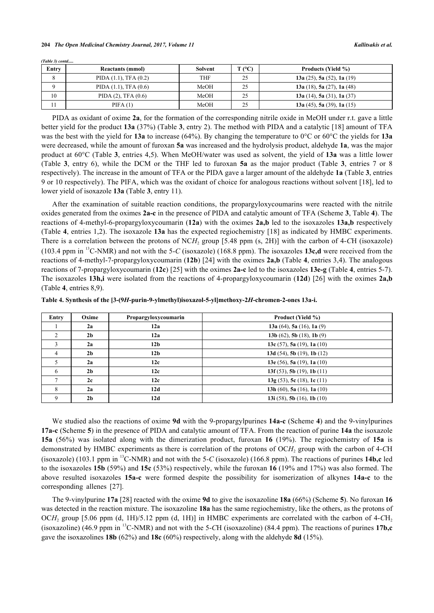*(Table 3) contd.....*

| Entry | <b>Reactants (mmol)</b>    | <b>Solvent</b> | $T$ (°C) | <b>Products (Yield %)</b>  |
|-------|----------------------------|----------------|----------|----------------------------|
|       | PIDA $(1.1)$ , TFA $(0.2)$ | <b>THF</b>     | 25       | 13a (25), 5a (52), 1a (19) |
|       | PIDA $(1.1)$ , TFA $(0.6)$ | MeOH           | 25       | 13a (18), 5a (27), 1a (48) |
| 10    | PIDA $(2)$ , TFA $(0.6)$   | MeOH           | 25       | 13a (14), 5a (31), 1a (37) |
|       | PIFA(1)                    | MeOH           | 25       | 13a (45), 5a (39), 1a (15) |

PIDA as oxidant of oxime **2a**, for the formation of the corresponding nitrile oxide in MeOH under r.t. gave a little better yield for the product **13a** (37%) (Table **[3](#page-7-1)**, entry 2). The method with PIDA and a catalytic [[18\]](#page-14-2) amount of TFA was the best with the yield for **13a** to increase (64%). By changing the temperature to 0°C or 60°C the yields for **13a** were decreased, while the amount of furoxan **5a** was increased and the hydrolysis product, aldehyde **1a**, was the major product at 60°C (Table **[3](#page-7-1)**, entries 4,5). When MeOH/water was used as solvent, the yield of **13a** was a little lower (Table**3**, entry 6), while the DCM or the THF led to furoxan **5a** as the major product (Table**3**, entries 7 or 8 respectively). The increase in the amount of TFA or the PIDA gave a larger amount of the aldehyde **1a** (Table **[3](#page-7-1)**, entries 9 or 10 respectively). The PIFA, which was the oxidant of choice for analogous reactions without solvent [[18\]](#page-14-2), led to lower yield of isoxazole **13a** (Table **[3](#page-7-1)**, entry 11).

After the examination of suitable reaction conditions, the propargyloxycoumarins were reacted with the nitrile oxides generated from the oximes **2a-c** in the presence of PIDA and catalytic amount of TFA (Scheme **[3](#page-7-0)**, Table **[4](#page-8-0)**). The reactions of 4-methyl-6-propargyloxycoumarin (**12a**) with the oximes **2a,b** led to the isoxazoles **13a,b** respectively (Table **[4](#page-8-0)**, entries 1,2). The isoxazole **13a** has the expected regiochemistry [[18](#page-14-2)] as indicated by HMBC experiments. There is a correlation between the protons of NCH<sub>2</sub> group [5.48 ppm (s, 2H)] with the carbon of 4-CH (isoxazole) (103.4 ppm in <sup>13</sup>C-NMR) and not with the 5-*C* (isoxazole) (168.8 ppm). The isoxazoles **13c,d** were received from the reactions of 4-methyl-7-propargyloxycoumarin (**12b**) [\[24](#page-14-8)] with the oximes **2a,b** (Table **[4](#page-8-0)**, entries 3,4). The analogous reactions of 7-propargyloxycoumarin (**12c**) [[25](#page-14-9)] with the oximes **2a-c** led to the isoxazoles **13e-g** (Table **[4](#page-8-0)**, entries 5-7). The isoxazoles **13h,i** were isolated from the reactions of 4-propargyloxycoumarin (**12d**) [[26\]](#page-14-10) with the oximes **2a,b** (Table **[4](#page-8-0)**, entries 8,9).

<span id="page-8-0"></span>

| Table 4. Synthesis of the [3-(9H-purin-9-ylmethyl)isoxazol-5-yl]methoxy-2H-chromen-2-ones 13a-i. |  |  |  |  |
|--------------------------------------------------------------------------------------------------|--|--|--|--|
|--------------------------------------------------------------------------------------------------|--|--|--|--|

| Entry          | Oxime          | Propargyloxycoumarin | Product (Yield %)                  |
|----------------|----------------|----------------------|------------------------------------|
|                | 2a             | 12a                  | 13a (64), 5a (16), 1a (9)          |
|                | 2 <sub>b</sub> | 12a                  | 13b $(62)$ , 5b $(18)$ , 1b $(9)$  |
| 3              | 2a             | 12 <sub>b</sub>      | 13c (57), 5a (19), 1a (10)         |
| $\overline{4}$ | 2 <sub>b</sub> | 12 <sub>b</sub>      | 13d $(54)$ , 5b $(19)$ , 1b $(12)$ |
|                | 2a             | 12c                  | 13e (56), 5a (19), 1a (10)         |
| 6              | 2 <sub>b</sub> | 12c                  | 13f $(53)$ , 5b $(19)$ , 1b $(11)$ |
|                | 2c             | 12c                  | 13g(53), 5c(18), 1c(11)            |
| 8              | 2a             | 12d                  | 13h (60), 5a (16), 1a (10)         |
|                | 2 <sub>b</sub> | 12d                  | 13i (58), 5b (16), 1b (10)         |

We studied also the reactions of oxime **9d** with the 9-propargylpurines **14a-c** (Scheme **[4](#page-8-1)**) and the 9-vinylpurines **17a-c** (Scheme **[5](#page-9-0)**) in the presence of PIDA and catalytic amount of TFA. From the reaction of purine **14a** the isoxazole **15a** (56%) was isolated along with the dimerization product, furoxan **16** (19%). The regiochemistry of **15a** is demonstrated by HMBC experiments as there is correlation of the protons of OCH<sub>2</sub> group with the carbon of 4-CH (isoxazole) (103.1 ppm in <sup>13</sup>C-NMR) and not with the 5-*C* (isoxazole) (166.8 ppm). The reactions of purines **14b,c** led to the isoxazoles **15b** (59%) and **15c** (53%) respectively, while the furoxan **16** (19% and 17%) was also formed. The above resulted isoxazoles **15a-c** were formed despite the possibility for isomerization of alkynes **14a-c** to the corresponding allenes [\[27](#page-14-11)].

<span id="page-8-1"></span>The 9-vinylpurine **17a** [[28\]](#page-14-12) reacted with the oxime **9d** to give the isoxazoline **18a** (66%) (Scheme **[5](#page-9-0)**). No furoxan **16** was detected in the reaction mixture. The isoxazoline **18a** has the same regiochemistry, like the others, as the protons of OCH<sub>2</sub> group [5.06 ppm (d, 1H)/5.12 ppm (d, 1H)] in HMBC experiments are correlated with the carbon of 4-CH<sub>2</sub> (isoxazoline) (46.9 ppm in <sup>13</sup>C-NMR) and not with the 5-*C*H (isoxazoline) (84.4 ppm). The reactions of purines **17b,c** gave the isoxazolines **18b** (62%) and **18c** (60%) respectively, along with the aldehyde **8d** (15%).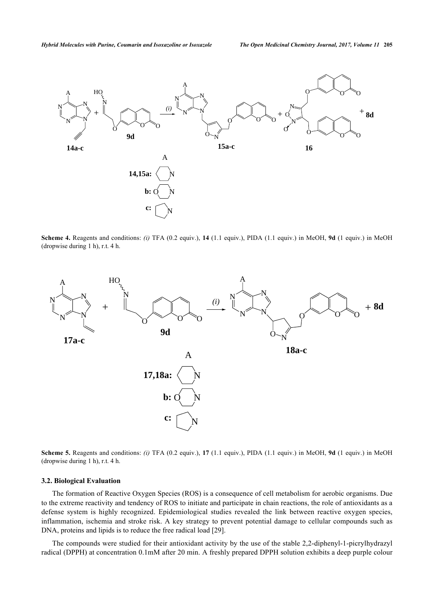

**Scheme 4.** Reagents and conditions: *(i)* TFA (0.2 equiv.), **14** (1.1 equiv.), PIDA (1.1 equiv.) in MeOH, **9d** (1 equiv.) in MeOH (dropwise during 1 h), r.t. 4 h.

<span id="page-9-0"></span>

**Scheme 5.** Reagents and conditions: *(i)* TFA (0.2 equiv.), **17** (1.1 equiv.), PIDA (1.1 equiv.) in MeOH, **9d** (1 equiv.) in MeOH (dropwise during 1 h), r.t. 4 h.

#### **3.2. Biological Evaluation**

The formation of Reactive Oxygen Species (ROS) is a consequence of cell metabolism for aerobic organisms. Due to the extreme reactivity and tendency of ROS to initiate and participate in chain reactions, the role of antioxidants as a defense system is highly recognized. Epidemiological studies revealed the link between reactive oxygen species, inflammation, ischemia and stroke risk. A key strategy to prevent potential damage to cellular compounds such as DNA, proteins and lipids is to reduce the free radical load [[29\]](#page-14-13).

The compounds were studied for their antioxidant activity by the use of the stable 2,2-diphenyl-1-picrylhydrazyl radical (DPPH) at concentration 0.1mM after 20 min. A freshly prepared DPPH solution exhibits a deep purple colour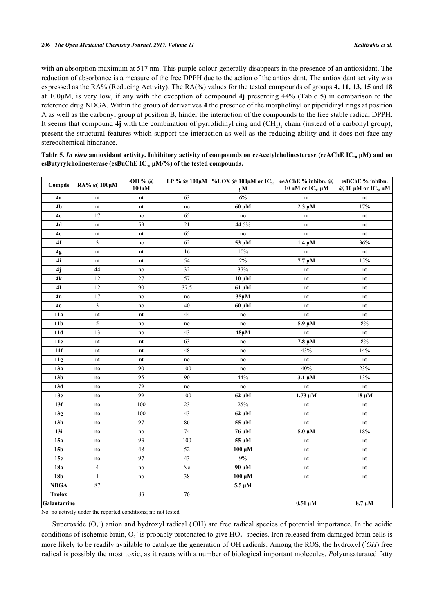with an absorption maximum at 517 nm. This purple colour generally disappears in the presence of an antioxidant. The reduction of absorbance is a measure of the free DPPH due to the action of the antioxidant. The antioxidant activity was expressed as the RA% (Reducing Activity). The RA(%) values for the tested compounds of groups **4, 11, 13, 15** and **18** at 100µM, is very low, if any with the exception of compound **4j** presenting 44% (Table **[5](#page-10-0)**) in comparison to the reference drug NDGA. Within the group of derivatives **4** the presence of the morpholinyl or piperidinyl rings at position A as well as the carbonyl group at position B, hinder the interaction of the compounds to the free stable radical DPPH. It seems that compound  $4j$  with the combination of pyrrolidinyl ring and  $(CH_2)_2$  chain (instead of a carbonyl group), present the structural features which support the interaction as well as the reducing ability and it does not face any stereochemical hindrance.

| Compds          | RA% @ 100μM             | $\cdot$ OH % $@$<br>$100 \mu M$ |          | LP % @ 100μM   %LOX @ 100μM or IC <sub>50</sub><br>$\mu$ M | eeAChE % inhibn. @<br>10 μM or $IC_{50}$ μM | esBChE % inhibn.<br>@ 10 $\mu$ M or IC <sub>50</sub> $\mu$ M |
|-----------------|-------------------------|---------------------------------|----------|------------------------------------------------------------|---------------------------------------------|--------------------------------------------------------------|
| 4a              | nt                      | $\mathop{\rm nt}\nolimits$      | 63       | 6%                                                         | nt                                          | nt                                                           |
| 4 <sub>b</sub>  | nt                      | nt                              | no       | 60 μM                                                      | $2.3 \mu M$                                 | 17%                                                          |
| 4c              | 17                      | no                              | 65       | no                                                         | nt                                          | nt                                                           |
| 4d              | nt                      | 59                              | 21       | 44.5%                                                      | nt                                          | nt                                                           |
| 4e              | nt                      | $\mathop{\rm nt}\nolimits$      | 65       | no                                                         | nt                                          | nt                                                           |
| 4f              | 3                       | no                              | 62       | 53 μM                                                      | $1.4 \mu M$                                 | 36%                                                          |
| 4g              | nt                      | nt                              | 16       | 10%                                                        | nt                                          | nt                                                           |
| 4i              | nt                      | nt                              | 54       | 2%                                                         | $7.7 \mu M$                                 | 15%                                                          |
| 4j              | 44                      | no                              | 32       | 37%                                                        | nt                                          | nt                                                           |
| 4k              | 12                      | $27\,$                          | 57       | $10 \mu M$                                                 | nt                                          | nt                                                           |
| 4 <sub>l</sub>  | 12                      | 90                              | 37.5     | 61 μM                                                      | nt                                          | nt                                                           |
| 4n              | 17                      | no                              | no       | $35\mu M$                                                  | nt                                          | nt                                                           |
| 40              | $\mathfrak{Z}$          | no                              | 40       | $60 \mu M$                                                 | nt                                          | nt                                                           |
| 11a             | nt                      | nt                              | 44       | no                                                         | nt                                          | nt                                                           |
| 11 <sub>b</sub> | 5                       | no                              | no       | no                                                         | $5.9 \mu M$                                 | $8\%$                                                        |
| 11d             | 13                      | no                              | 43       | $48\mu M$                                                  | nt                                          | nt                                                           |
| 11e             | nt                      | nt                              | 63       | no                                                         | $7.8 \mu M$                                 | $8\%$                                                        |
| 11f             | nt                      | nt                              | 48       | no                                                         | 43%                                         | 14%                                                          |
| 11g             | nt                      | nt                              | no       | no                                                         | nt                                          | nt                                                           |
| 13a             | no                      | 90                              | 100      | no                                                         | 40%                                         | 23%                                                          |
| 13 <sub>b</sub> | no                      | 95                              | 90       | 44%                                                        | $3.1 \mu M$                                 | 13%                                                          |
| 13d             | no                      | 79                              | no       | no                                                         | nt                                          | nt                                                           |
| 13e             | no                      | 99                              | 100      | 62 μM                                                      | $1.73 \mu M$                                | $18 \mu M$                                                   |
| 13f             | $\rm{no}$               | 100                             | 23       | 25%                                                        | nt                                          | nt                                                           |
| 13g             | no                      | 100                             | 43       | 62 μM                                                      | nt                                          | nt                                                           |
| 13h             | no                      | 97                              | 86       | 55 μM                                                      | nt                                          | nt                                                           |
| 13i             | no                      | no                              | 74       | 76 μM                                                      | $5.0 \mu M$                                 | $18\%$                                                       |
| 15a             | no                      | 93                              | 100      | 55 μM                                                      | nt                                          | nt                                                           |
| 15 <sub>b</sub> | no                      | 48                              | 52       | $100 \mu M$                                                | nt                                          | nt                                                           |
| 15c             | no                      | 97                              | 43       | $9\%$                                                      | nt                                          | nt                                                           |
| 18a             | $\overline{\mathbf{4}}$ | no                              | $\rm No$ | 90 μM                                                      | nt                                          | nt                                                           |
| 18b             | $\mathbf{1}$            | no                              | 38       | $100 \mu M$                                                | nt                                          | nt                                                           |
| <b>NDGA</b>     | $\bf 87$                |                                 |          | $5.5 \mu M$                                                |                                             |                                                              |
| <b>Trolox</b>   |                         | 83                              | 76       |                                                            |                                             |                                                              |
| Galantamine     |                         |                                 |          |                                                            | $0.51 \mu M$                                | $8.7 \mu M$                                                  |

<span id="page-10-0"></span>**Table 5.** *In vitro* **antioxidant activity. Inhibitory activity of compounds on eeAcetylcholinesterase (eeAChE IC50 μΜ) and on esButyrylcholinesterase (esBuChE IC50 μΜ/%) of the tested compounds.**

No: no activity under the reported conditions; nt: not tested

Superoxide  $(O_2)$  anion and hydroxyl radical (OH) are free radical species of potential importance. In the acidic conditions of ischemic brain,  $O_2$  is probably protonated to give  $HO_2$  species. Iron released from damaged brain cells is more likely to be readily available to catalyze the generation of OH radicals. Among the ROS, the hydroxyl (*•OH*) free radical is possibly the most toxic, as it reacts with a number of biological important molecules. *P*olyunsaturated fatty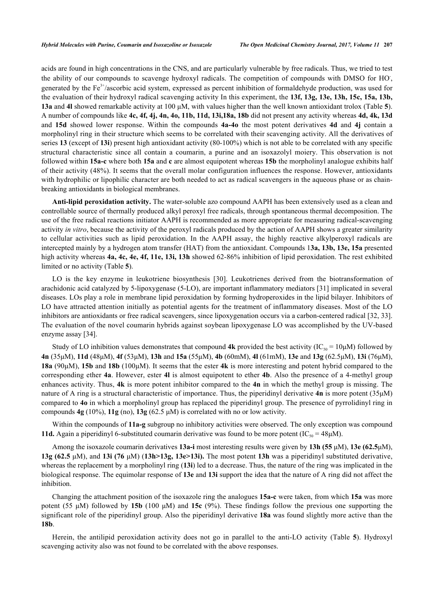acids are found in high concentrations in the CNS, and are particularly vulnerable by free radicals. Thus, we tried to test the ability of our compounds to scavenge hydroxyl radicals. The competition of compounds with DMSO for HO**.** , generated by the Fe<sup>3+</sup>/ascorbic acid system, expressed as percent inhibition of formaldehyde production, was used for the evaluation of their hydroxyl radical scavenging activity In this experiment, the **13f, 13g, 13e, 13h, 15c, 15a, 13b, 13a** and **4l** showed remarkable activity at 100 μM, with values higher than the well known antioxidant trolox (Table **[5](#page-10-0)**). A number of compounds like **4c, 4f, 4j, 4n, 4o, 11b, 11d, 13i,18a, 18b** did not present any activity whereas **4d, 4k, 13d** and **15d** showed lower response. Within the compounds **4a-4o** the most potent derivatives **4d** and **4j** contain a morpholinyl ring in their structure which seems to be correlated with their scavenging activity. All the derivatives of series **13** (except of **13i**) present high antioxidant activity (80-100%) which is not able to be correlated with any specific structural characteristic since all contain a coumarin, a purine and an isoxazolyl moiery. This observation is not followed within **15a-c** where both **15a** and **c** are almost equipotent whereas **15b** the morpholinyl analogue exhibits half of their activity (48%). It seems that the overall molar configuration influences the response. However, antioxidants with hydrophilic or lipophilic character are both needed to act as radical scavengers in the aqueous phase or as chainbreaking antioxidants in biological membranes.

**Anti-lipid peroxidation activity.** The water-soluble azo compound AAPH has been extensively used as a clean and controllable source of thermally produced alkyl peroxyl free radicals, through spontaneous thermal decomposition. The use of the free radical reactions initiator AAPH is recommended as more appropriate for measuring radical-scavenging activity *in vitro*, because the activity of the peroxyl radicals produced by the action of AAPH shows a greater similarity to cellular activities such as lipid peroxidation. In the AAPH assay, the highly reactive alkylperoxyl radicals are intercepted mainly by a hydrogen atom transfer (HAT) from the antioxidant. Compounds 1**3a, 13b, 13e, 15a** presented high activity whereas **4a, 4c, 4e, 4f, 11e, 13i, 13h** showed 62-86% inhibition of lipid peroxidation. The rest exhibited limited or no activity (Table **[5](#page-10-0)**).

LO is the key enzyme in leukotriene biosynthesis [\[30](#page-14-14)]. Leukotrienes derived from the biotransformation of arachidonic acid catalyzed by 5-lipoxygenase (5-LO), are important inflammatory mediators [\[31](#page-14-15)] implicated in several diseases. LOs play a role in membrane lipid peroxidation by forming hydroperoxides in the lipid bilayer. Inhibitors of LO have attracted attention initially as potential agents for the treatment of inflammatory diseases. Most of the LO inhibitors are antioxidants or free radical scavengers, since lipoxygenation occurs via a carbon-centered radical [[32,](#page-14-16) [33\]](#page-14-17). The evaluation of the novel coumarin hybrids against soybean lipoxygenase LO was accomplished by the UV-based enzyme assay [[34\]](#page-14-18).

Study of LO inhibition values demonstrates that compound 4k provided the best activity  $(IC_{50} = 10 \mu M)$  followed by **4n** (35μΜ), **11d** (48μΜ), **4f** (53μΜ), **13h** and **15a** (55μM), **4b** (60mM), **4l** (61mΜ), **13e** and **13g** (62.5μM), **13i** (76μΜ), **18a** (90μΜ), **15b** and **18b** (100μM). It seems that the ester **4k** is more interesting and potent hybrid compared to the corresponding ether **4a**. However, ester **4l** is almost equipotent to ether **4b**. Also the presence of a 4-methyl group enhances activity. Thus, **4k** is more potent inhibitor compared to the **4n** in which the methyl group is missing. The nature of A ring is a structural characteristic of importance. Thus, the piperidinyl derivative **4n** is more potent (35μΜ) compared to **4o** in which a morpholinyl group has replaced the piperidinyl group. The presence of pyrrolidinyl ring in compounds **4g** (10%), **11g** (no), **13g** (62.5 μΜ) is correlated with no or low activity.

Within the compounds of **11a-g** subgroup no inhibitory activities were observed. The only exception was compound **11d.** Again a piperidinyl 6-substituted coumarin derivative was found to be more potent  $(IC_{50} = 48\mu M)$ .

Among the isoxazole coumarin derivatives **13a-i** most interesting results were given by **13h (55** μM), **13e (62.5**μM), **13g (62.5** μM), and **13i (76** μM) (**13h>13g, 13e>13i).** The most potent **13h** was a piperidinyl substituted derivative, whereas the replacement by a morpholinyl ring (**13i**) led to a decrease. Thus, the nature of the ring was implicated in the biological response. The equimolar response of **13e** and **13i** support the idea that the nature of A ring did not affect the inhibition.

Changing the attachment position of the isoxazole ring the analogues **15a-c** were taken, from which **15a** was more potent (55 μM) followed by **15b** (100 μM) and **15c** (9%). These findings follow the previous one supporting the significant role of the piperidinyl group. Also the piperidinyl derivative **18a** was found slightly more active than the **18b**.

Herein, the antilipid peroxidation activity does not go in parallel to the anti-LO activity (Table**5**). Hydroxyl scavenging activity also was not found to be correlated with the above responses.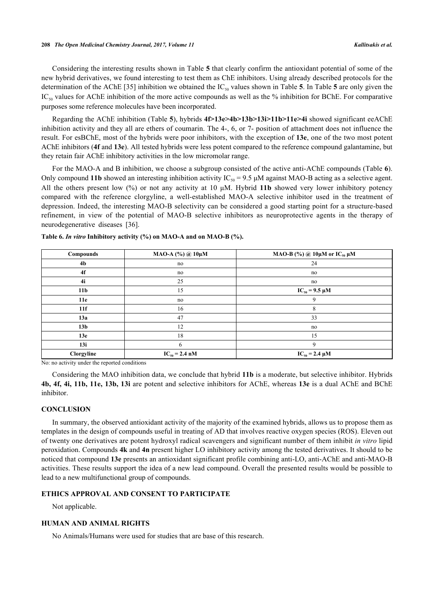Considering the interesting results shown in Table **[5](#page-10-0)** that clearly confirm the antioxidant potential of some of the new hybrid derivatives, we found interesting to test them as ChE inhibitors. Using already described protocols for the determination of the AChE [[35](#page-15-1)] inhibition we obtained the  $IC_{50}$  $IC_{50}$  $IC_{50}$  values shown in Table 5. In Table 5 are only given the  $IC_{50}$  values for AChE inhibition of the more active compounds as well as the % inhibition for BChE. For comparative purposes some reference molecules have been incorporated.

Regarding the AChE inhibition (Table **[5](#page-10-0)**), hybrids **4f>13e>4b>13b>13i>11b>11e>4i** showed significant eeAChE inhibition activity and they all are ethers of coumarin. The 4-, 6, or 7- position of attachment does not influence the result. For esBChE, most of the hybrids were poor inhibitors, with the exception of **13e**, one of the two most potent AChE inhibitors (**4f** and **13e**). All tested hybrids were less potent compared to the reference compound galantamine, but they retain fair AChE inhibitory activities in the low micromolar range.

For the MAO-A and B inhibition, we choose a subgroup consisted of the active anti-AChE compounds (Table **[6](#page-12-0)**). Only compound 11b showed an interesting inhibition activity  $IC_{50} = 9.5 \mu M$  against MAO-B acting as a selective agent. All the others present low (%) or not any activity at 10 μΜ. Hybrid **11b** showed very lower inhibitory potency compared with the reference clorgyline, a well-established MAO-A selective inhibitor used in the treatment of depression. Indeed, the interesting MAO-B selectivity can be considered a good starting point for a structure-based refinement, in view of the potential of MAO-B selective inhibitors as neuroprotective agents in the therapy of neurodegenerative diseases[[36\]](#page-15-3).

| Compounds                                                                                                                                                                                                                                       | МАО-А (%) @ 10µМ        | MAO-B (%) @ $10\mu$ M or IC <sub>50</sub> $\mu$ M |
|-------------------------------------------------------------------------------------------------------------------------------------------------------------------------------------------------------------------------------------------------|-------------------------|---------------------------------------------------|
| 4 <sub>b</sub>                                                                                                                                                                                                                                  | no                      | 24                                                |
| 4f                                                                                                                                                                                                                                              | no                      | no                                                |
| 4i                                                                                                                                                                                                                                              | 25                      | no                                                |
| 11 <sub>b</sub>                                                                                                                                                                                                                                 | 15                      | $IC_{50} = 9.5 \mu M$                             |
| 11e                                                                                                                                                                                                                                             | no                      | 9                                                 |
| 11f                                                                                                                                                                                                                                             | 16                      | 8                                                 |
| 13a                                                                                                                                                                                                                                             | 47                      | 33                                                |
| 13 <sub>b</sub>                                                                                                                                                                                                                                 | 12                      | no                                                |
| 13e                                                                                                                                                                                                                                             | 18                      | 15                                                |
| 13i                                                                                                                                                                                                                                             | 6                       | 9                                                 |
| Clorgyline<br>$\mathbf{r}$ , and a set of the set of the set of the set of the set of the set of the set of the set of the set of the set of the set of the set of the set of the set of the set of the set of the set of the set of the set of | $IC_{50} = 2.4$ nM<br>. | $IC_{50} = 2.4 \mu M$                             |

<span id="page-12-0"></span>**Table 6.** *In vitro* **Inhibitory activity (%) on MAO-A and on MAO-B (%).**

No: no activity under the reported conditions

Considering the MAO inhibition data, we conclude that hybrid **11b** is a moderate, but selective inhibitor. Hybrids **4b, 4f, 4i, 11b, 11e, 13b, 13i** are potent and selective inhibitors for AChE, whereas **13e** is a dual AChE and BChE inhibitor.

## **CONCLUSION**

In summary, the observed antioxidant activity of the majority of the examined hybrids, allows us to propose them as templates in the design of compounds useful in treating of AD that involves reactive oxygen species (ROS). Eleven out of twenty one derivatives are potent hydroxyl radical scavengers and significant number of them inhibit *in vitro* lipid peroxidation. Compounds **4k** and **4n** present higher LO inhibitory activity among the tested derivatives. It should to be noticed that compound **13e** presents an antioxidant significant profile combining anti-LO, anti-AChE and anti-MAO-B activities. These results support the idea of a new lead compound. Overall the presented results would be possible to lead to a new multifunctional group of compounds.

## **ETHICS APPROVAL AND CONSENT TO PARTICIPATE**

Not applicable.

## **HUMAN AND ANIMAL RIGHTS**

No Animals/Humans were used for studies that are base of this research.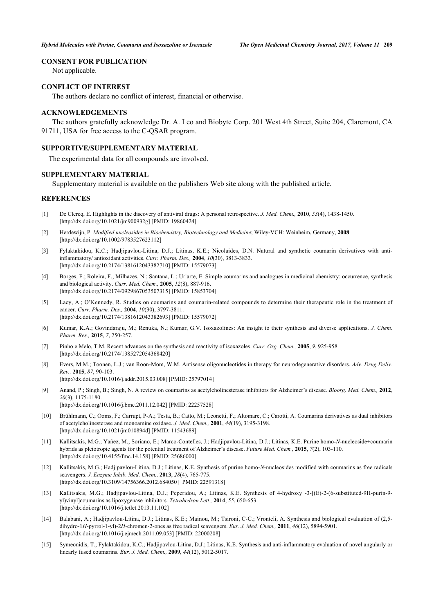## **CONSENT FOR PUBLICATION**

Not applicable.

## **CONFLICT OF INTEREST**

The authors declare no conflict of interest, financial or otherwise.

#### **ACKNOWLEDGEMENTS**

The authors gratefully acknowledge Dr. A. Leo and Biobyte Corp. 201 West 4th Street, Suite 204, Claremont, CA 91711, USA for free access to the C-QSAR program.

# **SUPPORTIVE/SUPPLEMENTARY MATERIAL**

The experimental data for all compounds are involved.

#### **SUPPLEMENTARY MATERIAL**

Supplementary material is available on the publishers Web site along with the published article.

## **REFERENCES**

- <span id="page-13-0"></span>[1] De Clercq, E. Highlights in the discovery of antiviral drugs: A personal retrospective. *J. Med. Chem.,* **2010**, *53*(4), 1438-1450. [\[http://dx.doi.org/10.1021/jm900932g](http://dx.doi.org/10.1021/jm900932g)] [PMID: [19860424\]](http://www.ncbi.nlm.nih.gov/pubmed/19860424)
- <span id="page-13-1"></span>[2] Herdewijn, P. *Modified nucleosides in Biochemistry, Biotechnology and Medicine*; Wiley-VCH: Weinheim, Germany, **2008**. [\[http://dx.doi.org/10.1002/9783527623112\]](http://dx.doi.org/10.1002/9783527623112)
- <span id="page-13-2"></span>[3] Fylaktakidou, K.C.; Hadjipavlou-Litina, D.J.; Litinas, K.E.; Nicolaides, D.N. Natural and synthetic coumarin derivatives with antiinflammatory/ antioxidant activities. *Curr. Pharm. Des.,* **2004**, *10*(30), 3813-3833. [\[http://dx.doi.org/10.2174/1381612043382710\]](http://dx.doi.org/10.2174/1381612043382710) [PMID: [15579073](http://www.ncbi.nlm.nih.gov/pubmed/15579073)]
- [4] Borges, F.; Roleira, F.; Milhazes, N.; Santana, L.; Uriarte, E. Simple coumarins and analogues in medicinal chemistry: occurrence, synthesis and biological activity. *Curr. Med. Chem.,* **2005**, *12*(8), 887-916. [\[http://dx.doi.org/10.2174/0929867053507315\]](http://dx.doi.org/10.2174/0929867053507315) [PMID: [15853704](http://www.ncbi.nlm.nih.gov/pubmed/15853704)]
- <span id="page-13-3"></span>[5] Lacy, A.; O'Kennedy, R. Studies on coumarins and coumarin-related compounds to determine their therapeutic role in the treatment of cancer. *Curr. Pharm. Des.,* **2004**, *10*(30), 3797-3811. [\[http://dx.doi.org/10.2174/1381612043382693\]](http://dx.doi.org/10.2174/1381612043382693) [PMID: [15579072](http://www.ncbi.nlm.nih.gov/pubmed/15579072)]
- <span id="page-13-4"></span>[6] Kumar, K.A.; Govindaraju, M.; Renuka, N.; Kumar, G.V. Isoxazolines: An insight to their synthesis and diverse applications. *J. Chem. Pharm. Res.,* **2015**, *7*, 250-257.
- <span id="page-13-5"></span>[7] Pinho e Melo, T.M. Recent advances on the synthesis and reactivity of isoxazoles. *Curr. Org. Chem.,* **2005**, *9*, 925-958. [\[http://dx.doi.org/10.2174/1385272054368420\]](http://dx.doi.org/10.2174/1385272054368420)
- <span id="page-13-6"></span>[8] Evers, M.M.; Toonen, L.J.; van Roon-Mom, W.M. Antisense oligonucleotides in therapy for neurodegenerative disorders. *Adv. Drug Deliv. Rev.,* **2015**, *87*, 90-103. [\[http://dx.doi.org/10.1016/j.addr.2015.03.008](http://dx.doi.org/10.1016/j.addr.2015.03.008)] [PMID: [25797014\]](http://www.ncbi.nlm.nih.gov/pubmed/25797014)
- <span id="page-13-7"></span>[9] Anand, P.; Singh, B.; Singh, N. A review on coumarins as acetylcholinesterase inhibitors for Alzheimer's disease. *Bioorg. Med. Chem.,* **2012**, *20*(3), 1175-1180. [\[http://dx.doi.org/10.1016/j.bmc.2011.12.042\]](http://dx.doi.org/10.1016/j.bmc.2011.12.042) [PMID: [22257528](http://www.ncbi.nlm.nih.gov/pubmed/22257528)]
- <span id="page-13-8"></span>[10] Brühlmann, C.; Ooms, F.; Carrupt, P-A.; Testa, B.; Catto, M.; Leonetti, F.; Altomare, C.; Carotti, A. Coumarins derivatives as dual inhibitors of acetylcholinesterase and monoamine oxidase. *J. Med. Chem.,* **2001**, *44*(19), 3195-3198. [\[http://dx.doi.org/10.1021/jm010894d](http://dx.doi.org/10.1021/jm010894d)] [PMID: [11543689\]](http://www.ncbi.nlm.nih.gov/pubmed/11543689)
- <span id="page-13-9"></span>[11] Kallitsakis, M.G.; Yañez, M.; Soriano, E.; Marco-Contelles, J.; Hadjipavlou-Litina, D.J.; Litinas, K.E. Purine homo*-N*-nucleoside+coumarin hybrids as pleiotropic agents for the potential treatment of Alzheimer's disease. *Future Med. Chem.,* **2015**, *7*(2), 103-110. [\[http://dx.doi.org/10.4155/fmc.14.158](http://dx.doi.org/10.4155/fmc.14.158)] [PMID: [25686000\]](http://www.ncbi.nlm.nih.gov/pubmed/25686000)
- <span id="page-13-13"></span>[12] Kallitsakis, M.G.; Hadjipavlou-Litina, D.J.; Litinas, K.E. Synthesis of purine homo-*N*-nucleosides modified with coumarins as free radicals scavengers. *J. Enzyme Inhib. Med. Chem.,* **2013**, *28*(4), 765-775. [\[http://dx.doi.org/10.3109/14756366.2012.684050\]](http://dx.doi.org/10.3109/14756366.2012.684050) [PMID: [22591318](http://www.ncbi.nlm.nih.gov/pubmed/22591318)]
- <span id="page-13-10"></span>[13] Kallitsakis, M.G.; Hadjipavlou-Litina, D.J.; Peperidou, A.; Litinas, K.E. Synthesis of 4-hydroxy -3-[(E)-2-(6-substituted-9H-purin-9 yl)vinyl]coumarins as lipoxygenase inhibitors. *Tetrahedron Lett.,* **2014**, *55*, 650-653. [\[http://dx.doi.org/10.1016/j.tetlet.2013.11.102](http://dx.doi.org/10.1016/j.tetlet.2013.11.102)]
- <span id="page-13-11"></span>[14] Balabani, A.; Hadjipavlou-Litina, D.J.; Litinas, K.E.; Mainou, M.; Tsironi, C-C.; Vronteli, A. Synthesis and biological evaluation of (2,5 dihydro-1*H*-pyrrol-1-yl)-2*H-*chromen-2-ones as free radical scavengers. *Eur. J. Med. Chem.,* **2011**, *46*(12), 5894-5901. [\[http://dx.doi.org/10.1016/j.ejmech.2011.09.053](http://dx.doi.org/10.1016/j.ejmech.2011.09.053)] [PMID: [22000208\]](http://www.ncbi.nlm.nih.gov/pubmed/22000208)
- <span id="page-13-12"></span>[15] Symeonidis, T.; Fylaktakidou, K.C.; Hadjipavlou-Litina, D.J.; Litinas, K.E. Synthesis and anti-inflammatory evaluation of novel angularly or linearly fused coumarins. *Eur. J. Med. Chem.,* **2009**, *44*(12), 5012-5017.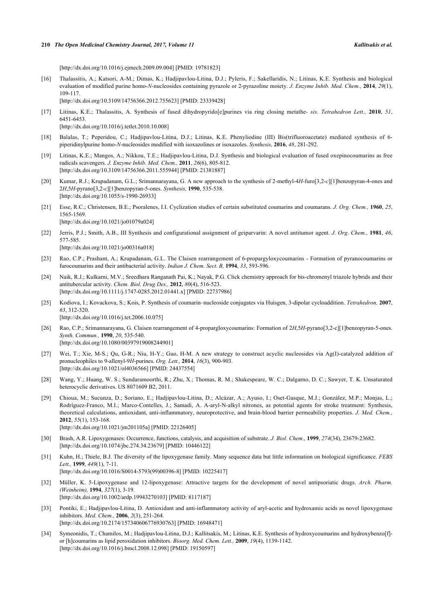[\[http://dx.doi.org/10.1016/j.ejmech.2009.09.004](http://dx.doi.org/10.1016/j.ejmech.2009.09.004)] [PMID: [19781823\]](http://www.ncbi.nlm.nih.gov/pubmed/19781823)

<span id="page-14-0"></span>[16] Thalassitis, A.; Katsori, A-M.; Dimas, K.; Hadjipavlou-Litina, D.J.; Pyleris, F.; Sakellaridis, N.; Litinas, K.E. Synthesis and biological evaluation of modified purine homo-*N*-nucleosides containing pyrazole or 2-pyrazoline moiety. *J. Enzyme Inhib. Med. Chem.,* **2014**, *29*(1), 109-117.

[\[http://dx.doi.org/10.3109/14756366.2012.755623\]](http://dx.doi.org/10.3109/14756366.2012.755623) [PMID: [23339428](http://www.ncbi.nlm.nih.gov/pubmed/23339428)]

- <span id="page-14-1"></span>[17] Litinas, K.E.; Thalassitis, A. Synthesis of fused dihydropyrido[e]purines via ring closing metathe- *sis. Tetrahedron Lett.,* **2010**, *51*, 6451-6453. [\[http://dx.doi.org/10.1016/j.tetlet.2010.10.008](http://dx.doi.org/10.1016/j.tetlet.2010.10.008)]
- <span id="page-14-2"></span>[18] Balalas, T.; Peperidou, C.; Hadjipavlou-Litina, D.J.; Litinas, K.E. Phenyliodine (III) Bis(trifluoroacetate) mediated synthesis of 6 piperidinylpurine homo-*N*-nucleosides modified with isoxazolines or isoxazoles. *Synthesis,* **2016**, *48*, 281-292.
- <span id="page-14-3"></span>[19] Litinas, K.E.; Mangos, A.; Nikkou, T.E.; Hadjipavlou-Litina, D.J. Synthesis and biological evaluation of fused oxepinocoumarins as free radicals scavengers. *J. Enzyme Inhib. Med. Chem.,* **2011**, *26*(6), 805-812. [\[http://dx.doi.org/10.3109/14756366.2011.555944\]](http://dx.doi.org/10.3109/14756366.2011.555944) [PMID: [21381887](http://www.ncbi.nlm.nih.gov/pubmed/21381887)]
- <span id="page-14-4"></span>[20] Kumar, R.J.; Krupadanam, G.L.; Srimannarayana, G. A new approach to the synthesis of 2-methyl-4*H*-furo[3,2-*c*][1]benzopyran-4-ones and 2*H*,5*H*-pyrano[3,2-*c*][1]benzopyran-5-ones. *Synthesis,* **1990**, 535-538. [\[http://dx.doi.org/10.1055/s-1990-26933](http://dx.doi.org/10.1055/s-1990-26933)]
- <span id="page-14-5"></span>[21] Esse, R.C.; Christensen, B.E.; Psoralenes, I.I. Cyclization studies of certain substituted coumarins and coumarans. *J. Org. Chem.,* **1960**, *25*, 1565-1569. [\[http://dx.doi.org/10.1021/jo01079a024\]](http://dx.doi.org/10.1021/jo01079a024)
- <span id="page-14-6"></span>[22] Jerris, P.J.; Smith, A.B., III Synthesis and configurational assignment of geiparvarin: A novel antitumor agent. *J. Org. Chem.,* **1981**, *46*, 577-585. [\[http://dx.doi.org/10.1021/jo00316a018\]](http://dx.doi.org/10.1021/jo00316a018)
- <span id="page-14-7"></span>[23] Rao, C.P.; Prashant, A.; Krupadanam, G.L. The Claisen rearrangement of 6-propargyloxycoumarins - Formation of pyranocoumarins or furocoumarins and their antibacterial activity. *Indian J. Chem. Sect. B,* **1994**, *33*, 593-596.
- <span id="page-14-8"></span>[24] Naik, R.J.; Kulkarni, M.V.; Sreedhara Ranganath Pai, K.; Nayak, P.G. Click chemistry approach for bis-chromenyl triazole hybrids and their antitubercular activity. *Chem. Biol. Drug Des.,* **2012**, *80*(4), 516-523. [\[http://dx.doi.org/10.1111/j.1747-0285.2012.01441.x\]](http://dx.doi.org/10.1111/j.1747-0285.2012.01441.x) [PMID: [22737986](http://www.ncbi.nlm.nih.gov/pubmed/22737986)]
- <span id="page-14-9"></span>[25] Kodiova, I.; Kovackova, S.; Kois, P. Synthesis of coumarin–nucleoside conjugates via Huisgen, 3-dipolar cycloaddition. *Tetrahedron,* **2007**, *63*, 312-320.

[\[http://dx.doi.org/10.1016/j.tet.2006.10.075](http://dx.doi.org/10.1016/j.tet.2006.10.075)]

- <span id="page-14-10"></span>[26] Rao, C.P.; Srimannarayana, G. Claisen rearrangement of 4-propargloxycoumarins: Formation of 2*H*,5*H*-pyrano[3,2-c][1]benzopyran-5-ones. *Synth. Commun.,* **1990**, *20*, 535-540. [\[http://dx.doi.org/10.1080/00397919008244901\]](http://dx.doi.org/10.1080/00397919008244901)
- <span id="page-14-11"></span>[27] Wei, T.; Xie, M-S.; Qu, G-R.; Niu, H-Y.; Guo, H-M. A new strategy to construct acyclic nucleosides via Ag(I)-catalyzed addition of pronucleophiles to 9-allenyl-9*H*-purines. *Org. Lett.,* **2014**, *16*(3), 900-903. [\[http://dx.doi.org/10.1021/ol4036566](http://dx.doi.org/10.1021/ol4036566)] [PMID: [24437554\]](http://www.ncbi.nlm.nih.gov/pubmed/24437554)
- <span id="page-14-12"></span>[28] Wang, Y.; Huang, W. S.; Sundaramoorthi, R.; Zhu, X.; Thomas, R. M.; Shakespeare, W. C.; Dalgarno, D. C.; Sawyer, T. K. Unsaturated heterocyclic derivatives. US 8071609 B2, 2011.
- <span id="page-14-13"></span>[29] Chioua, M.; Sucunza, D.; Soriano, E.; Hadjipavlou-Litina, D.; Alcázar, A.; Ayuso, I.; Oset-Gasque, M.J.; González, M.P.; Monjas, L.; Rodríguez-Franco, M.I.; Marco-Contelles, J.; Samadi, A. Α-aryl-N-alkyl nitrones, as potential agents for stroke treatment: Synthesis, theoretical calculations, antioxidant, anti-inflammatory, neuroprotective, and brain-blood barrier permeability properties. *J. Med. Chem.,* **2012**, *55*(1), 153-168.
	- [\[http://dx.doi.org/10.1021/jm201105a\]](http://dx.doi.org/10.1021/jm201105a) [PMID: [22126405](http://www.ncbi.nlm.nih.gov/pubmed/22126405)]
- <span id="page-14-14"></span>[30] Brash, A.R. Lipoxygenases: Occurrence, functions, catalysis, and acquisition of substrate. *J. Biol. Chem.,* **1999**, *274*(34), 23679-23682. [\[http://dx.doi.org/10.1074/jbc.274.34.23679\]](http://dx.doi.org/10.1074/jbc.274.34.23679) [PMID: [10446122](http://www.ncbi.nlm.nih.gov/pubmed/10446122)]
- <span id="page-14-15"></span>[31] Kuhn, H.; Thiele, B.J. The diversity of the lipoxygenase family. Many sequence data but little information on biological significance. *FEBS Lett.,* **1999**, *449*(1), 7-11.
- [\[http://dx.doi.org/10.1016/S0014-5793\(99\)00396-8\]](http://dx.doi.org/10.1016/S0014-5793(99)00396-8) [PMID: [10225417](http://www.ncbi.nlm.nih.gov/pubmed/10225417)]
- <span id="page-14-16"></span>[32] Müller, K. 5-Lipoxygenase and 12-lipoxygenase: Attractive targets for the development of novel antipsoriatic drugs. *Arch. Pharm. (Weinheim),* **1994**, *327*(1), 3-19. [\[http://dx.doi.org/10.1002/ardp.19943270103](http://dx.doi.org/10.1002/ardp.19943270103)] [PMID: [8117187\]](http://www.ncbi.nlm.nih.gov/pubmed/8117187)
- <span id="page-14-17"></span>[33] Pontiki, E.; Hadjipavlou-Litina, D. Antioxidant and anti-inflammatory activity of aryl-acetic and hydroxamic acids as novel lipoxygenase inhibitors. *Med. Chem.,* **2006**, *2*(3), 251-264. [\[http://dx.doi.org/10.2174/157340606776930763\]](http://dx.doi.org/10.2174/157340606776930763) [PMID: [16948471](http://www.ncbi.nlm.nih.gov/pubmed/16948471)]
- <span id="page-14-18"></span>[34] Symeonidis, T.; Chamilos, M.; Hadjipavlou-Litina, D.J.; Kallitsakis, M.; Litinas, K.E. Synthesis of hydroxycoumarins and hydroxybenzo[f] or [h]coumarins as lipid peroxidation inhibitors. *Bioorg. Med. Chem. Lett.,* **2009**, *19*(4), 1139-1142. [\[http://dx.doi.org/10.1016/j.bmcl.2008.12.098](http://dx.doi.org/10.1016/j.bmcl.2008.12.098)] [PMID: [19150597\]](http://www.ncbi.nlm.nih.gov/pubmed/19150597)